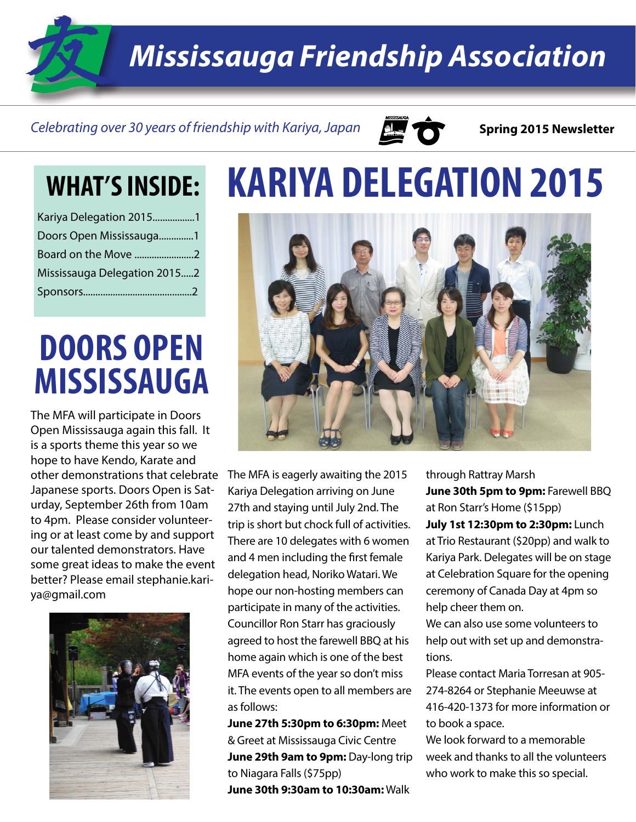*Mississauga Friendship Association*

#### Celebrating over 30 years of friendship with Kariya, Japan **Super Constant Spring 2015 Newsletter**



| Kariya Delegation 20151      |  |
|------------------------------|--|
| Doors Open Mississauga1      |  |
| Board on the Move 2          |  |
| Mississauga Delegation 20152 |  |
|                              |  |

### **DOORS OPEN MISSISSAUGA**

The MFA will participate in Doors Open Mississauga again this fall. It is a sports theme this year so we hope to have Kendo, Karate and other demonstrations that celebrate Japanese sports. Doors Open is Saturday, September 26th from 10am to 4pm. Please consider volunteering or at least come by and support our talented demonstrators. Have some great ideas to make the event better? Please email stephanie.kariya@gmail.com



# **WHAT'S INSIDE: KARIYA DELEGATION 2015**



The MFA is eagerly awaiting the 2015 Kariya Delegation arriving on June 27th and staying until July 2nd. The trip is short but chock full of activities. There are 10 delegates with 6 women and 4 men including the first female delegation head, Noriko Watari. We hope our non-hosting members can participate in many of the activities. Councillor Ron Starr has graciously agreed to host the farewell BBQ at his home again which is one of the best MFA events of the year so don't miss it. The events open to all members are as follows:

**June 27th 5:30pm to 6:30pm:** Meet & Greet at Mississauga Civic Centre **June 29th 9am to 9pm:** Day-long trip to Niagara Falls (\$75pp) **June 30th 9:30am to 10:30am:** Walk

through Rattray Marsh **June 30th 5pm to 9pm:** Farewell BBQ at Ron Starr's Home (\$15pp) **July 1st 12:30pm to 2:30pm:** Lunch at Trio Restaurant (\$20pp) and walk to Kariya Park. Delegates will be on stage at Celebration Square for the opening ceremony of Canada Day at 4pm so help cheer them on.

We can also use some volunteers to help out with set up and demonstrations.

Please contact Maria Torresan at 905- 274-8264 or Stephanie Meeuwse at 416-420-1373 for more information or to book a space.

We look forward to a memorable week and thanks to all the volunteers who work to make this so special.